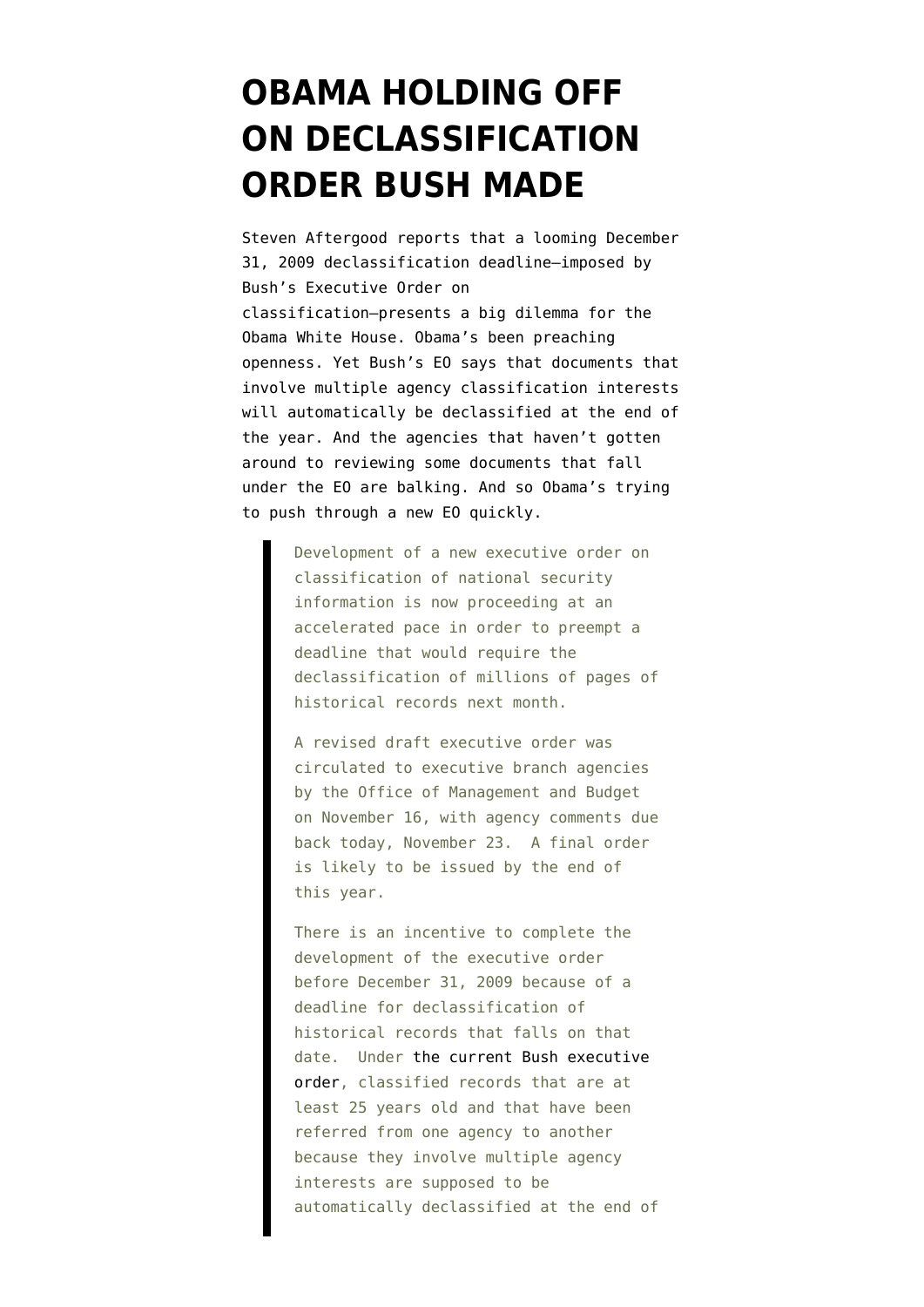## **[OBAMA HOLDING OFF](https://www.emptywheel.net/2009/11/23/obama-holding-off-on-declassification-order-bush-made/) [ON DECLASSIFICATION](https://www.emptywheel.net/2009/11/23/obama-holding-off-on-declassification-order-bush-made/) [ORDER BUSH MADE](https://www.emptywheel.net/2009/11/23/obama-holding-off-on-declassification-order-bush-made/)**

Steven Aftergood [reports](http://www.fas.org/blog/secrecy/2009/11/eo_declass_deadline.html) that a looming December 31, 2009 declassification deadline–imposed by Bush's Executive Order on classification–presents a big dilemma for the Obama White House. Obama's been preaching openness. Yet Bush's EO says that documents that involve multiple agency classification interests will automatically be declassified at the end of the year. And the agencies that haven't gotten around to reviewing some documents that fall under the EO are balking. And so Obama's trying to push through a new EO quickly.

> Development of a new executive order on classification of national security information is now proceeding at an accelerated pace in order to preempt a deadline that would require the declassification of millions of pages of historical records next month.

> A revised draft executive order was circulated to executive branch agencies by the Office of Management and Budget on November 16, with agency comments due back today, November 23. A final order is likely to be issued by the end of this year.

> There is an incentive to complete the development of the executive order before December 31, 2009 because of a deadline for declassification of historical records that falls on that date. Under [the current Bush executive](http://www.fas.org/sgp/bush/eoamend.html) [order](http://www.fas.org/sgp/bush/eoamend.html), classified records that are at least 25 years old and that have been referred from one agency to another because they involve multiple agency interests are supposed to be automatically declassified at the end of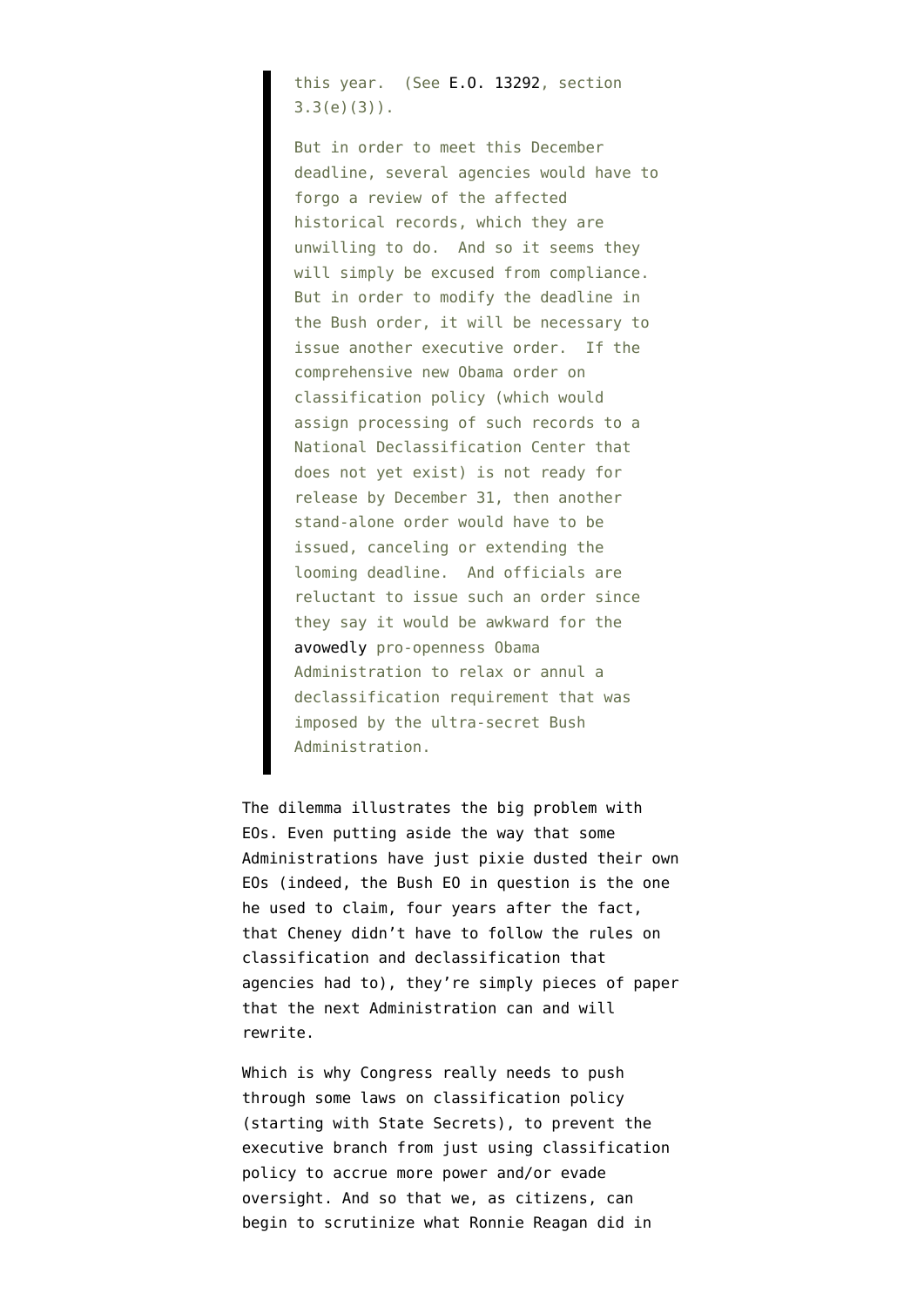this year. (See [E.O. 13292](http://www.fas.org/sgp/bush/eoamend.html), section 3.3(e)(3)).

But in order to meet this December deadline, several agencies would have to forgo a review of the affected historical records, which they are unwilling to do. And so it seems they will simply be excused from compliance. But in order to modify the deadline in the Bush order, it will be necessary to issue another executive order. If the comprehensive new Obama order on classification policy (which would assign processing of such records to a National Declassification Center that does not yet exist) is not ready for release by December 31, then another stand-alone order would have to be issued, canceling or extending the looming deadline. And officials are reluctant to issue such an order since they say it would be awkward for the [avowedly](http://www.washingtonpost.com/wp-dyn/content/article/2009/11/19/AR2009111903751.html) pro-openness Obama Administration to relax or annul a declassification requirement that was imposed by the ultra-secret Bush Administration.

The dilemma illustrates the big problem with EOs. Even putting aside the way that some Administrations [have just pixie dusted](http://emptywheel.firedoglake.com/2007/12/10/whan-all-executive-orders-turn-to-pixie-dust/) their own EOs (indeed, the Bush EO in question is [the one](http://emptywheel.firedoglake.com/2007/12/13/when-all-eos-are-pixie-dust-it-means-dick-can-declassify-anything-he-wants/) [he used to claim, four years after the fact](http://emptywheel.firedoglake.com/2007/12/13/when-all-eos-are-pixie-dust-it-means-dick-can-declassify-anything-he-wants/), that Cheney didn't have to follow the rules on classification and declassification that agencies had to), they're simply pieces of paper that the next Administration can and will rewrite.

Which is why Congress really needs to push through some laws on classification policy (starting with State Secrets), to prevent the executive branch from just using classification policy to accrue more power and/or evade oversight. And so that we, as citizens, can begin to scrutinize what Ronnie Reagan did in